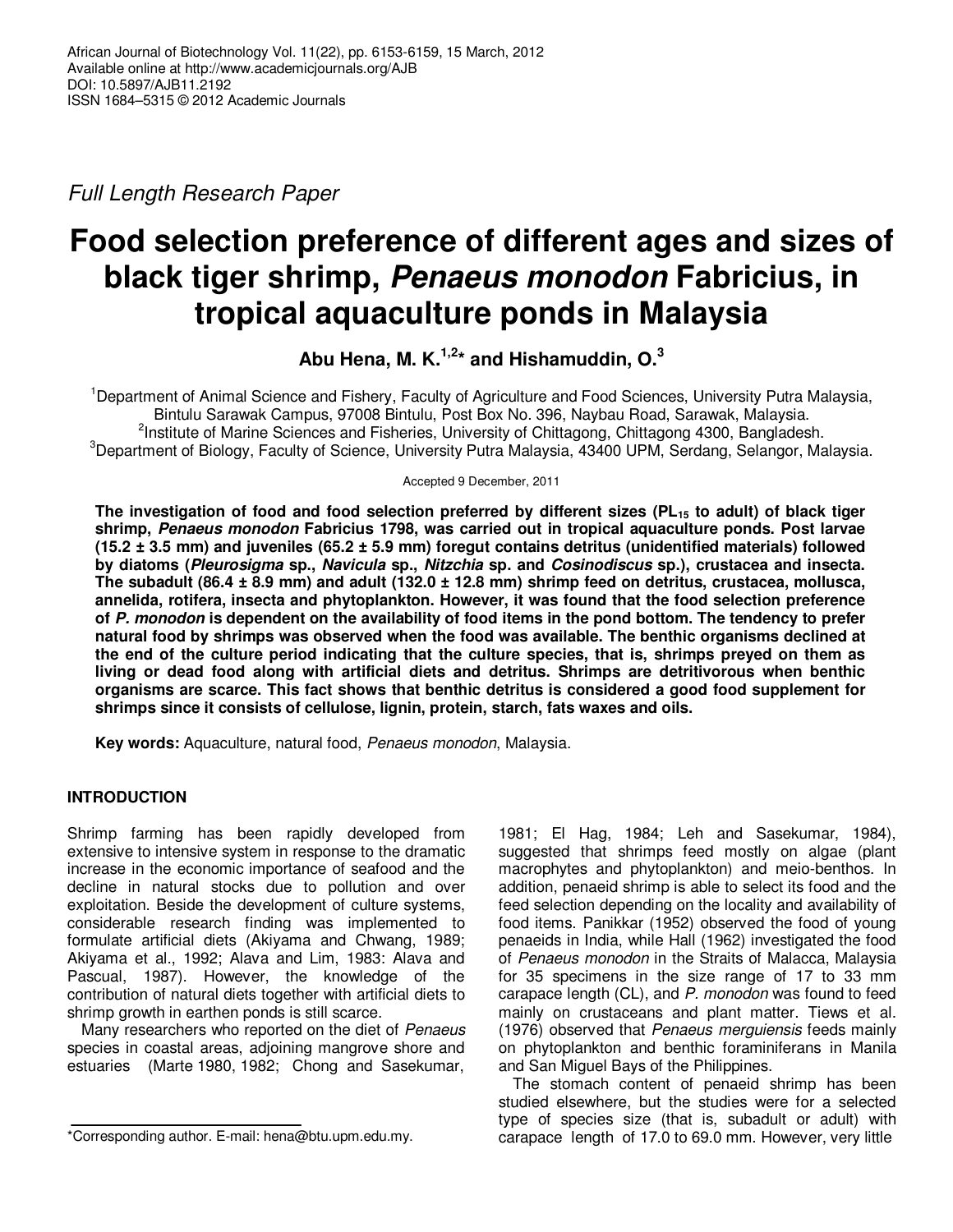*Full Length Research Paper* 

# **Food selection preference of different ages and sizes of black tiger shrimp, Penaeus monodon Fabricius, in tropical aquaculture ponds in Malaysia**

**Abu Hena, M. K.1,2\* and Hishamuddin, O.<sup>3</sup>**

<sup>1</sup>Department of Animal Science and Fishery, Faculty of Agriculture and Food Sciences, University Putra Malaysia, Bintulu Sarawak Campus, 97008 Bintulu, Post Box No. 396, Naybau Road, Sarawak, Malaysia. <sup>2</sup>Institute of Marine Sciences and Fisheries, University of Chittagong, Chittagong 4300, Bangladesh. <sup>3</sup>Department of Biology, Faculty of Science, University Putra Malaysia, 43400 UPM, Serdang, Selangor, Malaysia.

Accepted 9 December, 2011

**The investigation of food and food selection preferred by different sizes (PL15 to adult) of black tiger shrimp, Penaeus monodon Fabricius 1798, was carried out in tropical aquaculture ponds. Post larvae (15.2 ± 3.5 mm) and juveniles (65.2 ± 5.9 mm) foregut contains detritus (unidentified materials) followed by diatoms (Pleurosigma sp., Navicula sp., Nitzchia sp. and Cosinodiscus sp.), crustacea and insecta. The subadult (86.4 ± 8.9 mm) and adult (132.0 ± 12.8 mm) shrimp feed on detritus, crustacea, mollusca, annelida, rotifera, insecta and phytoplankton. However, it was found that the food selection preference of P. monodon is dependent on the availability of food items in the pond bottom. The tendency to prefer natural food by shrimps was observed when the food was available. The benthic organisms declined at the end of the culture period indicating that the culture species, that is, shrimps preyed on them as living or dead food along with artificial diets and detritus. Shrimps are detritivorous when benthic organisms are scarce. This fact shows that benthic detritus is considered a good food supplement for shrimps since it consists of cellulose, lignin, protein, starch, fats waxes and oils.** 

**Key words:** Aquaculture, natural food, *Penaeus monodon*, Malaysia.

# **INTRODUCTION**

Shrimp farming has been rapidly developed from extensive to intensive system in response to the dramatic increase in the economic importance of seafood and the decline in natural stocks due to pollution and over exploitation. Beside the development of culture systems, considerable research finding was implemented to formulate artificial diets (Akiyama and Chwang, 1989; Akiyama et al., 1992; Alava and Lim, 1983: Alava and Pascual, 1987). However, the knowledge of the contribution of natural diets together with artificial diets to shrimp growth in earthen ponds is still scarce.

Many researchers who reported on the diet of *Penaeus* species in coastal areas, adjoining mangrove shore and estuaries (Marte 1980, 1982; Chong and Sasekumar,

1981; El Hag, 1984; Leh and Sasekumar, 1984), suggested that shrimps feed mostly on algae (plant macrophytes and phytoplankton) and meio-benthos. In addition, penaeid shrimp is able to select its food and the feed selection depending on the locality and availability of food items. Panikkar (1952) observed the food of young penaeids in India, while Hall (1962) investigated the food of *Penaeus monodon* in the Straits of Malacca, Malaysia for 35 specimens in the size range of 17 to 33 mm carapace length (CL), and *P. monodon* was found to feed mainly on crustaceans and plant matter. Tiews et al. (1976) observed that *Penaeus merguiensis* feeds mainly on phytoplankton and benthic foraminiferans in Manila and San Miguel Bays of the Philippines.

The stomach content of penaeid shrimp has been studied elsewhere, but the studies were for a selected type of species size (that is, subadult or adult) with carapace length of 17.0 to 69.0 mm. However, very little

<sup>\*</sup>Corresponding author. E-mail: hena@btu.upm.edu.my.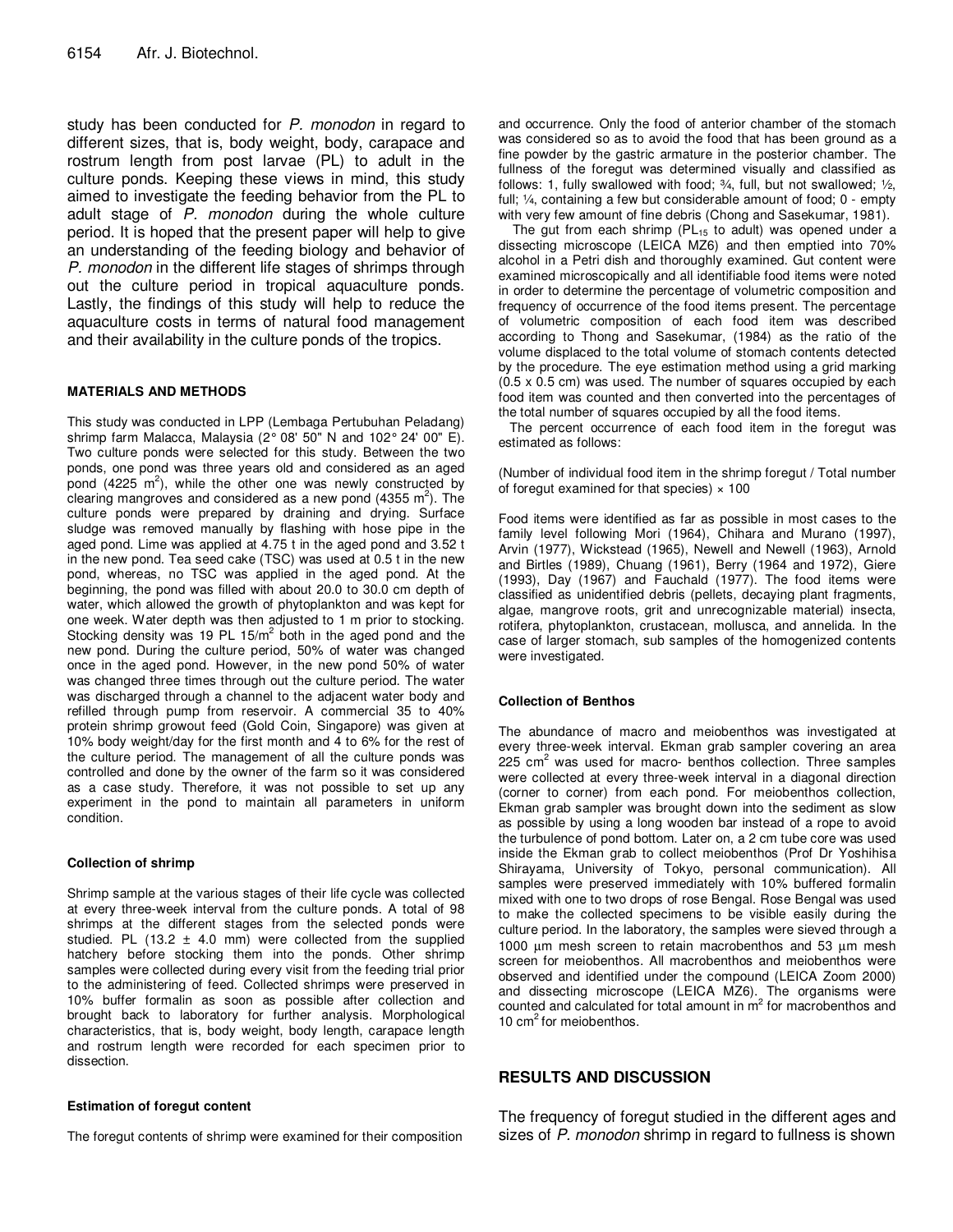study has been conducted for *P. monodon* in regard to different sizes, that is, body weight, body, carapace and rostrum length from post larvae (PL) to adult in the culture ponds. Keeping these views in mind, this study aimed to investigate the feeding behavior from the PL to adult stage of *P. monodon* during the whole culture period. It is hoped that the present paper will help to give an understanding of the feeding biology and behavior of *P. monodon* in the different life stages of shrimps through out the culture period in tropical aquaculture ponds. Lastly, the findings of this study will help to reduce the aquaculture costs in terms of natural food management and their availability in the culture ponds of the tropics.

### **MATERIALS AND METHODS**

This study was conducted in LPP (Lembaga Pertubuhan Peladang) shrimp farm Malacca, Malaysia (2° 08' 50" N and 102° 24' 00" E). Two culture ponds were selected for this study. Between the two ponds, one pond was three years old and considered as an aged pond (4225  $m^2$ ), while the other one was newly constructed by clearing mangroves and considered as a new pond (4355 m<sup>2</sup>). The culture ponds were prepared by draining and drying. Surface sludge was removed manually by flashing with hose pipe in the aged pond. Lime was applied at 4.75 t in the aged pond and 3.52 t in the new pond. Tea seed cake (TSC) was used at 0.5 t in the new pond, whereas, no TSC was applied in the aged pond. At the beginning, the pond was filled with about 20.0 to 30.0 cm depth of water, which allowed the growth of phytoplankton and was kept for one week. Water depth was then adjusted to 1 m prior to stocking. Stocking density was 19 PL  $15/m^2$  both in the aged pond and the new pond. During the culture period, 50% of water was changed once in the aged pond. However, in the new pond 50% of water was changed three times through out the culture period. The water was discharged through a channel to the adjacent water body and refilled through pump from reservoir. A commercial 35 to 40% protein shrimp growout feed (Gold Coin, Singapore) was given at 10% body weight/day for the first month and 4 to 6% for the rest of the culture period. The management of all the culture ponds was controlled and done by the owner of the farm so it was considered as a case study. Therefore, it was not possible to set up any experiment in the pond to maintain all parameters in uniform condition.

#### **Collection of shrimp**

Shrimp sample at the various stages of their life cycle was collected at every three-week interval from the culture ponds. A total of 98 shrimps at the different stages from the selected ponds were studied. PL  $(13.2 \pm 4.0 \text{ mm})$  were collected from the supplied hatchery before stocking them into the ponds. Other shrimp samples were collected during every visit from the feeding trial prior to the administering of feed. Collected shrimps were preserved in 10% buffer formalin as soon as possible after collection and brought back to laboratory for further analysis. Morphological characteristics, that is, body weight, body length, carapace length and rostrum length were recorded for each specimen prior to dissection.

#### **Estimation of foregut content**

The foregut contents of shrimp were examined for their composition

and occurrence. Only the food of anterior chamber of the stomach was considered so as to avoid the food that has been ground as a fine powder by the gastric armature in the posterior chamber. The fullness of the foregut was determined visually and classified as follows: 1, fully swallowed with food; ¾, full, but not swallowed; ½, full; ¼, containing a few but considerable amount of food; 0 - empty with very few amount of fine debris (Chong and Sasekumar, 1981).

The gut from each shrimp ( $PL_{15}$  to adult) was opened under a dissecting microscope (LEICA MZ6) and then emptied into 70% alcohol in a Petri dish and thoroughly examined. Gut content were examined microscopically and all identifiable food items were noted in order to determine the percentage of volumetric composition and frequency of occurrence of the food items present. The percentage of volumetric composition of each food item was described according to Thong and Sasekumar, (1984) as the ratio of the volume displaced to the total volume of stomach contents detected by the procedure. The eye estimation method using a grid marking (0.5 x 0.5 cm) was used. The number of squares occupied by each food item was counted and then converted into the percentages of the total number of squares occupied by all the food items.

The percent occurrence of each food item in the foregut was estimated as follows:

(Number of individual food item in the shrimp foregut / Total number of foregut examined for that species)  $\times$  100

Food items were identified as far as possible in most cases to the family level following Mori (1964), Chihara and Murano (1997), Arvin (1977), Wickstead (1965), Newell and Newell (1963), Arnold and Birtles (1989), Chuang (1961), Berry (1964 and 1972), Giere (1993), Day (1967) and Fauchald (1977). The food items were classified as unidentified debris (pellets, decaying plant fragments, algae, mangrove roots, grit and unrecognizable material) insecta, rotifera, phytoplankton, crustacean, mollusca, and annelida. In the case of larger stomach, sub samples of the homogenized contents were investigated.

#### **Collection of Benthos**

The abundance of macro and meiobenthos was investigated at every three-week interval. Ekman grab sampler covering an area  $225$   $\text{cm}^2$  was used for macro- benthos collection. Three samples were collected at every three-week interval in a diagonal direction (corner to corner) from each pond. For meiobenthos collection, Ekman grab sampler was brought down into the sediment as slow as possible by using a long wooden bar instead of a rope to avoid the turbulence of pond bottom. Later on, a 2 cm tube core was used inside the Ekman grab to collect meiobenthos (Prof Dr Yoshihisa Shirayama, University of Tokyo, personal communication). All samples were preserved immediately with 10% buffered formalin mixed with one to two drops of rose Bengal. Rose Bengal was used to make the collected specimens to be visible easily during the culture period. In the laboratory, the samples were sieved through a 1000 µm mesh screen to retain macrobenthos and 53 µm mesh screen for meiobenthos. All macrobenthos and meiobenthos were observed and identified under the compound (LEICA Zoom 2000) and dissecting microscope (LEICA MZ6). The organisms were counted and calculated for total amount in  $\mathsf{m}^2$  for macrobenthos and 10  $cm<sup>2</sup>$  for meiobenthos.

## **RESULTS AND DISCUSSION**

The frequency of foregut studied in the different ages and sizes of *P. monodon* shrimp in regard to fullness is shown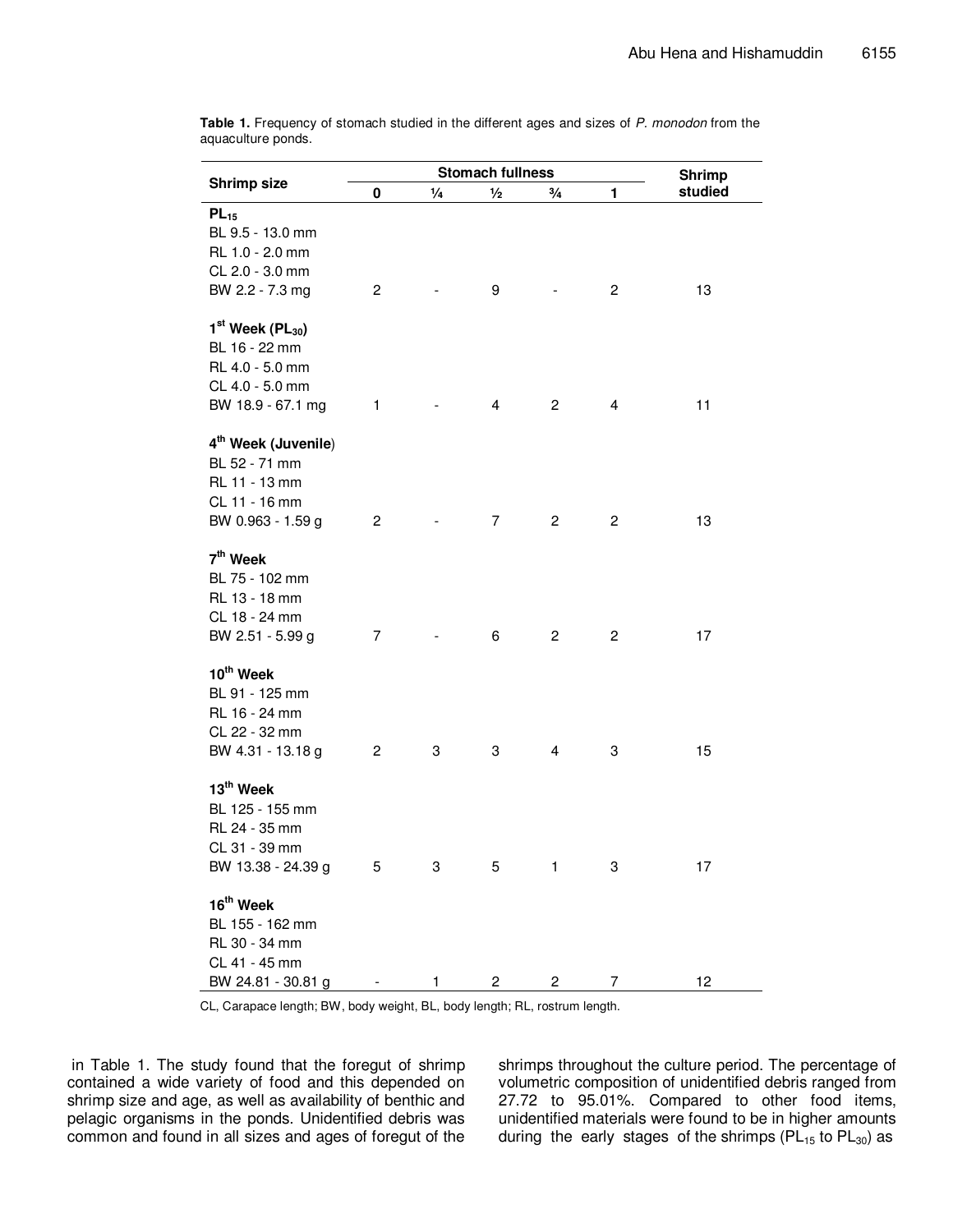| Shrimp size                                                                                                | <b>Stomach fullness</b><br>$\frac{1}{2}$<br>1<br>0<br>$\frac{1}{4}$<br>$\frac{3}{4}$ |   |                |                         |                | <b>Shrimp</b><br>studied |
|------------------------------------------------------------------------------------------------------------|--------------------------------------------------------------------------------------|---|----------------|-------------------------|----------------|--------------------------|
| $PL_{15}$<br>BL 9.5 - 13.0 mm<br>RL 1.0 - 2.0 mm<br>CL 2.0 - 3.0 mm<br>BW 2.2 - 7.3 mg                     | $\mathbf{2}$                                                                         |   | 9              |                         | $\overline{c}$ | 13                       |
| $1st$ Week (PL <sub>30</sub> )<br>BL 16 - 22 mm<br>RL 4.0 - 5.0 mm<br>CL 4.0 - 5.0 mm<br>BW 18.9 - 67.1 mg | 1                                                                                    |   | $\overline{4}$ | $\overline{2}$          | 4              | 11                       |
| 4 <sup>th</sup> Week (Juvenile)<br>BL 52 - 71 mm<br>RL 11 - 13 mm<br>CL 11 - 16 mm<br>BW 0.963 - 1.59 g    | $\overline{c}$                                                                       |   | $\overline{7}$ | $\overline{\mathbf{c}}$ | 2              | 13                       |
| 7 <sup>th</sup> Week<br>BL 75 - 102 mm<br>RL 13 - 18 mm<br>CL 18 - 24 mm<br>BW 2.51 - 5.99 g               | $\overline{7}$                                                                       |   | 6              | $\mathbf{2}$            | $\overline{c}$ | 17                       |
| 10 <sup>th</sup> Week<br>BL 91 - 125 mm<br>RL 16 - 24 mm<br>CL 22 - 32 mm<br>BW 4.31 - 13.18 g             | 2                                                                                    | 3 | 3              | $\overline{4}$          | 3              | 15                       |
| 13 <sup>th</sup> Week<br>BL 125 - 155 mm<br>RL 24 - 35 mm<br>CL 31 - 39 mm<br>BW 13.38 - 24.39 g           | 5                                                                                    | 3 | 5              | 1                       | 3              | 17                       |
| 16 <sup>th</sup> Week<br>BL 155 - 162 mm<br>RL 30 - 34 mm<br>CL 41 - 45 mm<br>BW 24.81 - 30.81 g           |                                                                                      | 1 | 2              | 2                       | 7              | 12                       |

**Table 1.** Frequency of stomach studied in the different ages and sizes of *P. monodon* from the aquaculture ponds.

CL, Carapace length; BW, body weight, BL, body length; RL, rostrum length.

 in Table 1. The study found that the foregut of shrimp contained a wide variety of food and this depended on shrimp size and age, as well as availability of benthic and pelagic organisms in the ponds. Unidentified debris was common and found in all sizes and ages of foregut of the

shrimps throughout the culture period. The percentage of volumetric composition of unidentified debris ranged from 27.72 to 95.01%. Compared to other food items, unidentified materials were found to be in higher amounts during the early stages of the shrimps ( $PL_{15}$  to  $PL_{30}$ ) as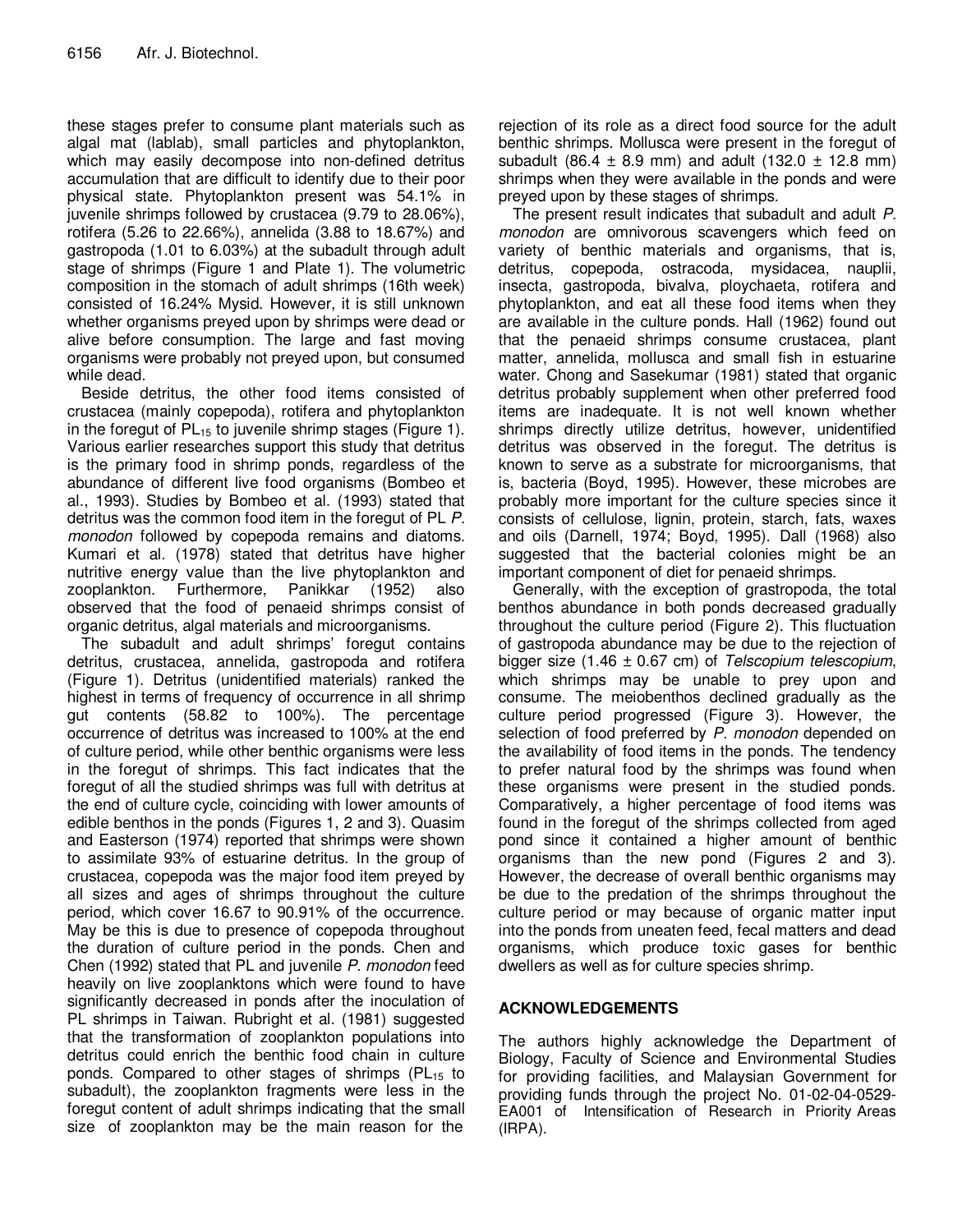these stages prefer to consume plant materials such as algal mat (lablab), small particles and phytoplankton, which may easily decompose into non-defined detritus accumulation that are difficult to identify due to their poor physical state. Phytoplankton present was 54.1% in juvenile shrimps followed by crustacea (9.79 to 28.06%), rotifera (5.26 to 22.66%), annelida (3.88 to 18.67%) and gastropoda (1.01 to 6.03%) at the subadult through adult stage of shrimps (Figure 1 and Plate 1). The volumetric composition in the stomach of adult shrimps (16th week) consisted of 16.24% Mysid. However, it is still unknown whether organisms preyed upon by shrimps were dead or alive before consumption. The large and fast moving organisms were probably not preyed upon, but consumed while dead.

Beside detritus, the other food items consisted of crustacea (mainly copepoda), rotifera and phytoplankton in the foregut of  $PL_{15}$  to juvenile shrimp stages (Figure 1). Various earlier researches support this study that detritus is the primary food in shrimp ponds, regardless of the abundance of different live food organisms (Bombeo et al., 1993). Studies by Bombeo et al. (1993) stated that detritus was the common food item in the foregut of PL *P. monodon* followed by copepoda remains and diatoms. Kumari et al. (1978) stated that detritus have higher nutritive energy value than the live phytoplankton and zooplankton. Furthermore, Panikkar (1952) also observed that the food of penaeid shrimps consist of organic detritus, algal materials and microorganisms.

The subadult and adult shrimps' foregut contains detritus, crustacea, annelida, gastropoda and rotifera (Figure 1). Detritus (unidentified materials) ranked the highest in terms of frequency of occurrence in all shrimp gut contents (58.82 to 100%). The percentage occurrence of detritus was increased to 100% at the end of culture period, while other benthic organisms were less in the foregut of shrimps. This fact indicates that the foregut of all the studied shrimps was full with detritus at the end of culture cycle, coinciding with lower amounts of edible benthos in the ponds (Figures 1, 2 and 3). Quasim and Easterson (1974) reported that shrimps were shown to assimilate 93% of estuarine detritus. In the group of crustacea, copepoda was the major food item preyed by all sizes and ages of shrimps throughout the culture period, which cover 16.67 to 90.91% of the occurrence. May be this is due to presence of copepoda throughout the duration of culture period in the ponds. Chen and Chen (1992) stated that PL and juvenile *P. monodon* feed heavily on live zooplanktons which were found to have significantly decreased in ponds after the inoculation of PL shrimps in Taiwan. Rubright et al. (1981) suggested that the transformation of zooplankton populations into detritus could enrich the benthic food chain in culture ponds. Compared to other stages of shrimps ( $PL_{15}$  to subadult), the zooplankton fragments were less in the foregut content of adult shrimps indicating that the small size of zooplankton may be the main reason for the

rejection of its role as a direct food source for the adult benthic shrimps. Mollusca were present in the foregut of subadult (86.4  $\pm$  8.9 mm) and adult (132.0  $\pm$  12.8 mm) shrimps when they were available in the ponds and were preyed upon by these stages of shrimps.

The present result indicates that subadult and adult *P. monodon* are omnivorous scavengers which feed on variety of benthic materials and organisms, that is, detritus, copepoda, ostracoda, mysidacea, nauplii, insecta, gastropoda, bivalva, ploychaeta, rotifera and phytoplankton, and eat all these food items when they are available in the culture ponds. Hall (1962) found out that the penaeid shrimps consume crustacea, plant matter, annelida, mollusca and small fish in estuarine water. Chong and Sasekumar (1981) stated that organic detritus probably supplement when other preferred food items are inadequate. It is not well known whether shrimps directly utilize detritus, however, unidentified detritus was observed in the foregut. The detritus is known to serve as a substrate for microorganisms, that is, bacteria (Boyd, 1995). However, these microbes are probably more important for the culture species since it consists of cellulose, lignin, protein, starch, fats, waxes and oils (Darnell, 1974; Boyd, 1995). Dall (1968) also suggested that the bacterial colonies might be an important component of diet for penaeid shrimps.

Generally, with the exception of grastropoda, the total benthos abundance in both ponds decreased gradually throughout the culture period (Figure 2). This fluctuation of gastropoda abundance may be due to the rejection of bigger size (1.46 ± 0.67 cm) of *Telscopium telescopium*, which shrimps may be unable to prey upon and consume. The meiobenthos declined gradually as the culture period progressed (Figure 3). However, the selection of food preferred by *P. monodon* depended on the availability of food items in the ponds. The tendency to prefer natural food by the shrimps was found when these organisms were present in the studied ponds. Comparatively, a higher percentage of food items was found in the foregut of the shrimps collected from aged pond since it contained a higher amount of benthic organisms than the new pond (Figures 2 and 3). However, the decrease of overall benthic organisms may be due to the predation of the shrimps throughout the culture period or may because of organic matter input into the ponds from uneaten feed, fecal matters and dead organisms, which produce toxic gases for benthic dwellers as well as for culture species shrimp.

## **ACKNOWLEDGEMENTS**

The authors highly acknowledge the Department of Biology, Faculty of Science and Environmental Studies for providing facilities, and Malaysian Government for providing funds through the project No. 01-02-04-0529- EA001 of Intensification of Research in Priority Areas (IRPA).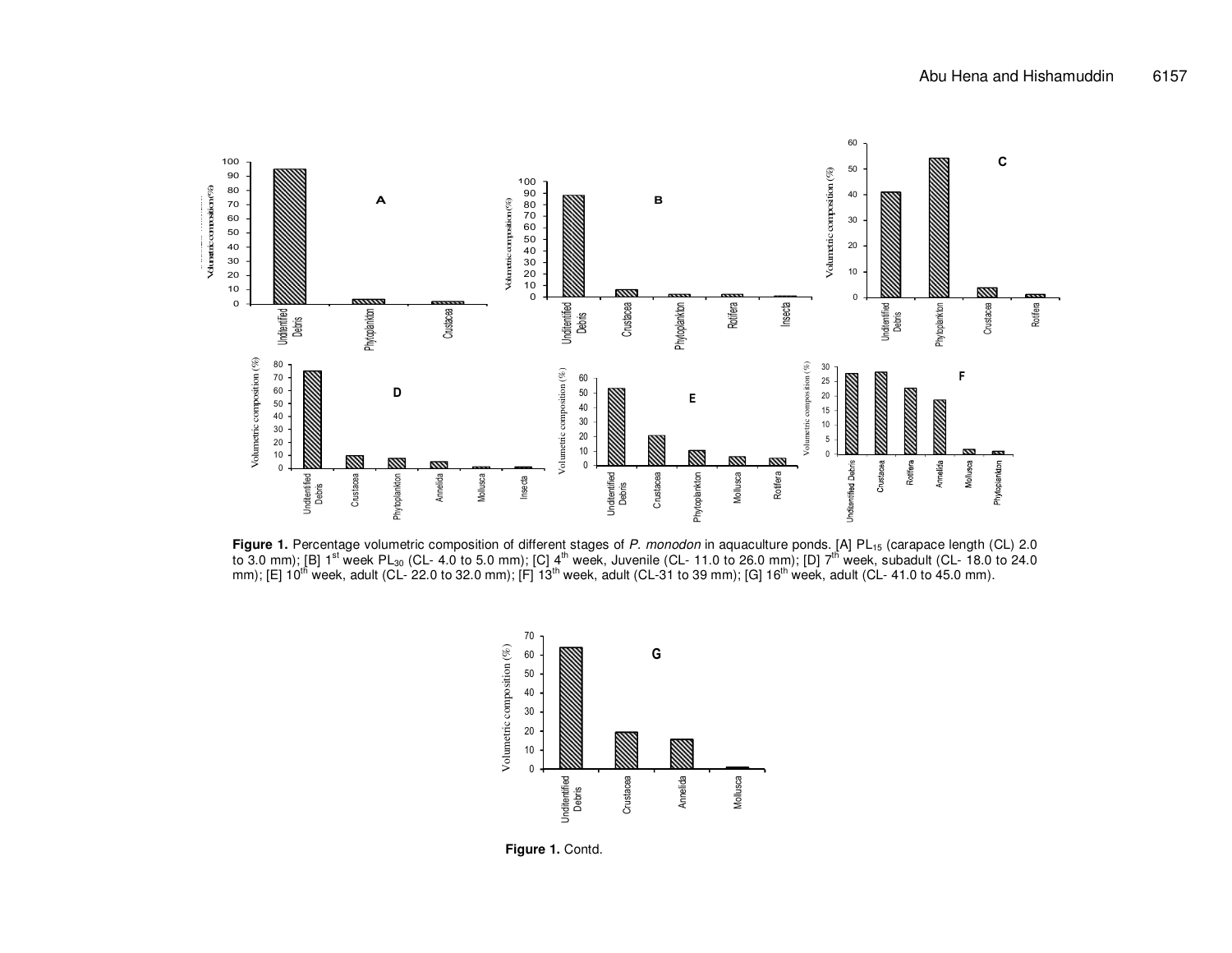

**Figure 1.** Percentage volumetric composition of different stages of *P. monodon* in aquaculture ponds. [A] PL<sub>15</sub> (carapace length (CL) 2.0<br>to 3.0 mm); [B] 1<sup>st</sup> week PL<sub>30</sub> (CL- 4.0 to 5.0 mm); [C] 4<sup>th</sup> week, Juvenile (



**Figure 1.** Contd.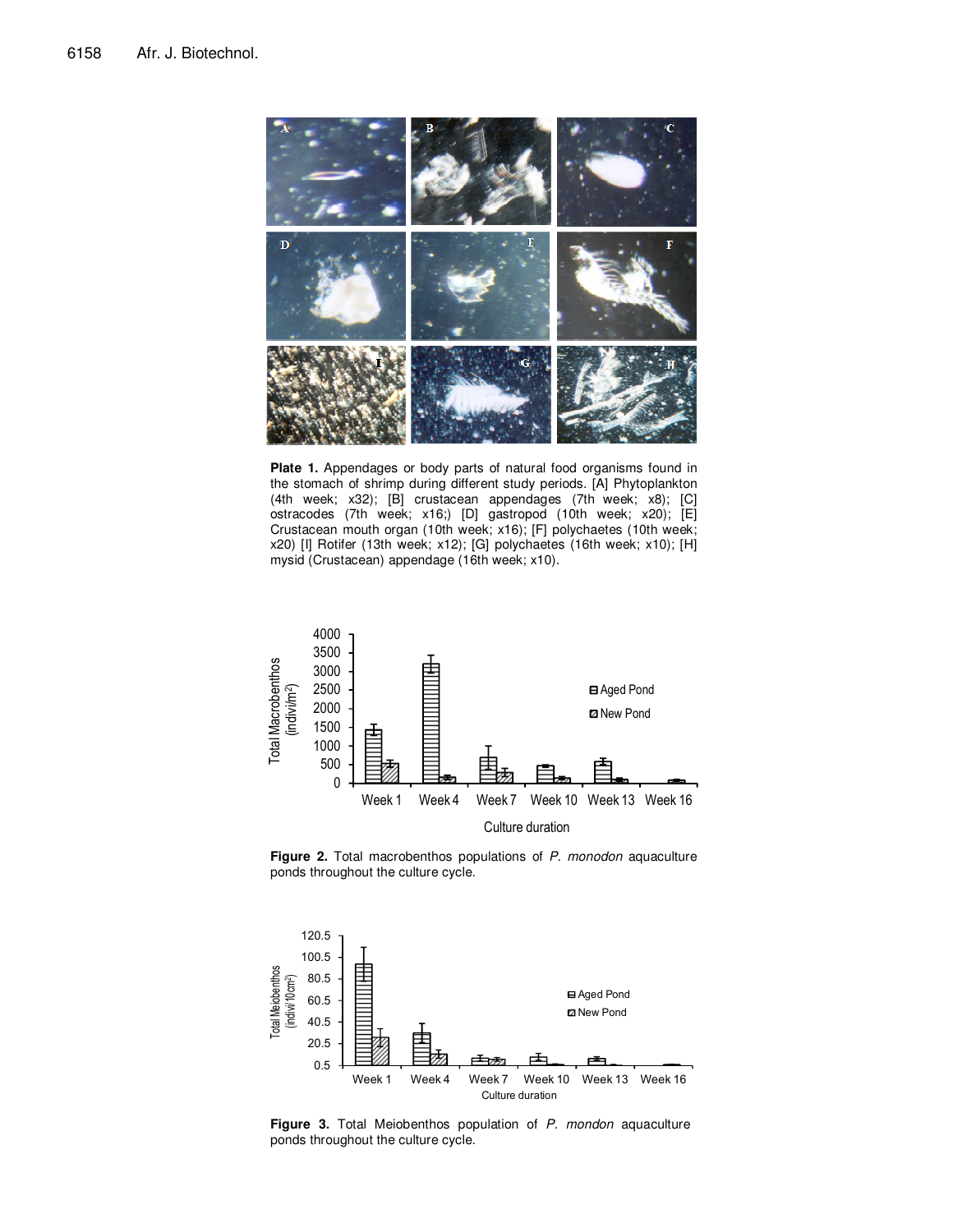

**Plate 1.** Appendages or body parts of natural food organisms found in the stomach of shrimp during different study periods. [A] Phytoplankton (4th week; x32); [B] crustacean appendages (7th week; x8); [C] ostracodes (7th week; x16;) [D] gastropod (10th week; x20); [E] Crustacean mouth organ (10th week; x16); [F] polychaetes (10th week; x20) [I] Rotifer (13th week; x12); [G] polychaetes (16th week; x10); [H] mysid (Crustacean) appendage (16th week; x10).



**Figure 2.** Total macrobenthos populations of *P. monodon* aquaculture ponds throughout the culture cycle.



**Figure 3.** Total Meiobenthos population of *P. mondon* aquaculture ponds throughout the culture cycle.